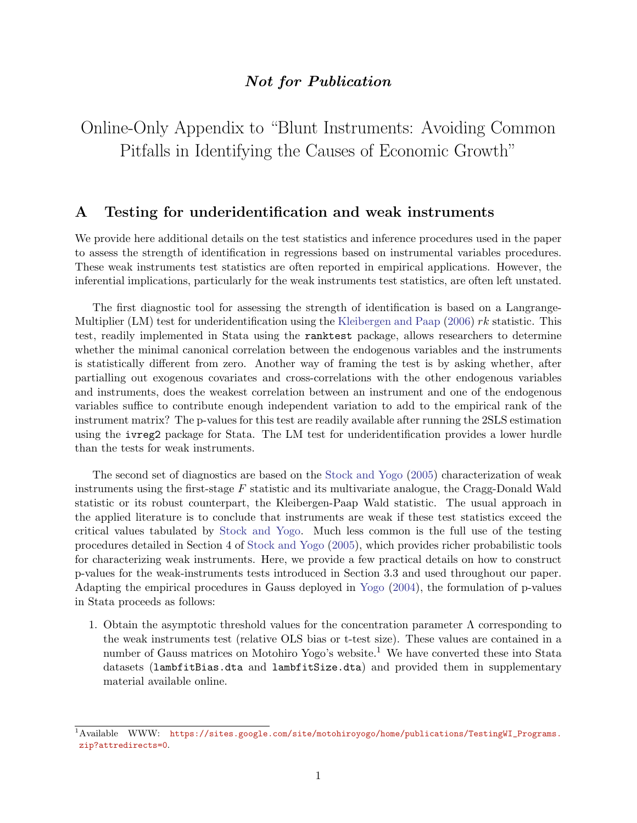## Not for Publication

Online-Only Appendix to "Blunt Instruments: Avoiding Common Pitfalls in Identifying the Causes of Economic Growth"

## A Testing for underidentification and weak instruments

We provide here additional details on the test statistics and inference procedures used in the paper to assess the strength of identification in regressions based on instrumental variables procedures. These weak instruments test statistics are often reported in empirical applications. However, the inferential implications, particularly for the weak instruments test statistics, are often left unstated.

The first diagnostic tool for assessing the strength of identification is based on a Langrange-Multiplier (LM) test for underidentification using the [Kleibergen and Paap](#page-15-0) [\(2006\)](#page-15-0)  $rk$  statistic. This test, readily implemented in Stata using the ranktest package, allows researchers to determine whether the minimal canonical correlation between the endogenous variables and the instruments is statistically different from zero. Another way of framing the test is by asking whether, after partialling out exogenous covariates and cross-correlations with the other endogenous variables and instruments, does the weakest correlation between an instrument and one of the endogenous variables suffice to contribute enough independent variation to add to the empirical rank of the instrument matrix? The p-values for this test are readily available after running the 2SLS estimation using the ivreg2 package for Stata. The LM test for underidentification provides a lower hurdle than the tests for weak instruments.

The second set of diagnostics are based on the [Stock and Yogo](#page-15-1) [\(2005\)](#page-15-1) characterization of weak instruments using the first-stage  $F$  statistic and its multivariate analogue, the Cragg-Donald Wald statistic or its robust counterpart, the Kleibergen-Paap Wald statistic. The usual approach in the applied literature is to conclude that instruments are weak if these test statistics exceed the critical values tabulated by [Stock and Yogo.](#page-15-1) Much less common is the full use of the testing procedures detailed in Section 4 of [Stock and Yogo](#page-15-1) [\(2005\)](#page-15-1), which provides richer probabilistic tools for characterizing weak instruments. Here, we provide a few practical details on how to construct p-values for the weak-instruments tests introduced in Section 3.3 and used throughout our paper. Adapting the empirical procedures in Gauss deployed in [Yogo](#page-15-2) [\(2004\)](#page-15-2), the formulation of p-values in Stata proceeds as follows:

1. Obtain the asymptotic threshold values for the concentration parameter  $\Lambda$  corresponding to the weak instruments test (relative OLS bias or t-test size). These values are contained in a number of Gauss matrices on Motohiro Yogo's website.<sup>1</sup> We have converted these into Stata datasets (lambfitBias.dta and lambfitSize.dta) and provided them in supplementary material available online.

<sup>&</sup>lt;sup>1</sup>Available WWW: [https://sites.google.com/site/motohiroyogo/home/publications/TestingWI\\_Programs.](https://sites.google.com/site/motohiroyogo/home/publications/TestingWI_Programs.zip?attredirects=0) [zip?attredirects=0](https://sites.google.com/site/motohiroyogo/home/publications/TestingWI_Programs.zip?attredirects=0).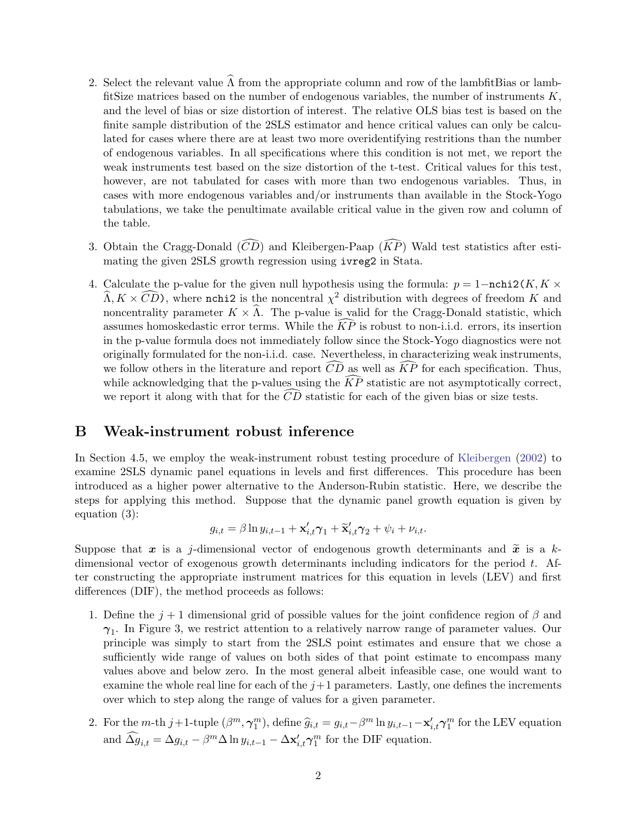- 2. Select the relevant value  $\widehat{\Lambda}$  from the appropriate column and row of the lambfitBias or lambfitSize matrices based on the number of endogenous variables, the number of instruments  $K$ , and the level of bias or size distortion of interest. The relative OLS bias test is based on the finite sample distribution of the 2SLS estimator and hence critical values can only be calculated for cases where there are at least two more overidentifying restritions than the number of endogenous variables. In all specifications where this condition is not met, we report the weak instruments test based on the size distortion of the t-test. Critical values for this test, however, are not tabulated for cases with more than two endogenous variables. Thus, in cases with more endogenous variables and/or instruments than available in the Stock-Yogo tabulations, we take the penultimate available critical value in the given row and column of the table.
- 3. Obtain the Cragg-Donald  $(\widehat{CD})$  and Kleibergen-Paap  $(\widehat{KP})$  Wald test statistics after estimating the given 2SLS growth regression using ivreg2 in Stata.
- 4. Calculate the p-value for the given null hypothesis using the formula:  $p = 1 \text{nchi2}(K, K \times$  $\widehat{\Lambda}, K \times \widehat{CD}$ , where nchi2 is the noncentral  $\chi^2$  distribution with degrees of freedom K and noncentrality parameter  $K \times \hat{\Lambda}$ . The p-value is valid for the Cragg-Donald statistic, which assumes homoskedastic error terms. While the  $\overline{KP}$  is robust to non-i.i.d. errors, its insertion in the p-value formula does not immediately follow since the Stock-Yogo diagnostics were not originally formulated for the non-i.i.d. case. Nevertheless, in characterizing weak instruments, we follow others in the literature and report  $\overline{CD}$  as well as  $\overline{KP}$  for each specification. Thus, while acknowledging that the p-values using the  $\widehat{KP}$  statistic are not asymptotically correct, we report it along with that for the  $\overline{CD}$  statistic for each of the given bias or size tests.

### B Weak-instrument robust inference

In Section 4.5, we employ the weak-instrument robust testing procedure of [Kleibergen](#page-15-3) [\(2002\)](#page-15-3) to examine 2SLS dynamic panel equations in levels and first differences. This procedure has been introduced as a higher power alternative to the Anderson-Rubin statistic. Here, we describe the steps for applying this method. Suppose that the dynamic panel growth equation is given by equation (3):

$$
g_{i,t} = \beta \ln y_{i,t-1} + \mathbf{x}'_{i,t}\boldsymbol{\gamma}_1 + \widetilde{\mathbf{x}}'_{i,t}\boldsymbol{\gamma}_2 + \psi_i + \nu_{i,t}.
$$

Suppose that x is a j-dimensional vector of endogenous growth determinants and  $\tilde{x}$  is a kdimensional vector of exogenous growth determinants including indicators for the period  $t$ . After constructing the appropriate instrument matrices for this equation in levels (LEV) and first differences (DIF), the method proceeds as follows:

- 1. Define the  $j+1$  dimensional grid of possible values for the joint confidence region of  $\beta$  and  $\gamma_1$ . In Figure 3, we restrict attention to a relatively narrow range of parameter values. Our principle was simply to start from the 2SLS point estimates and ensure that we chose a sufficiently wide range of values on both sides of that point estimate to encompass many values above and below zero. In the most general albeit infeasible case, one would want to examine the whole real line for each of the  $j+1$  parameters. Lastly, one defines the increments over which to step along the range of values for a given parameter.
- 2. For the m-th j+1-tuple  $(\beta^m, \gamma_1^m)$ , define  $\widehat{g}_{i,t} = g_{i,t} \beta^m \ln y_{i,t-1} \mathbf{x}'_{i,t} \gamma_1^m$  for the LEV equation and  $\widehat{\Delta g}_{i,t} = \Delta g_{i,t} - \beta^m \Delta \ln y_{i,t-1} - \Delta \mathbf{x}'_{i,t} \gamma^m_1$  for the DIF equation.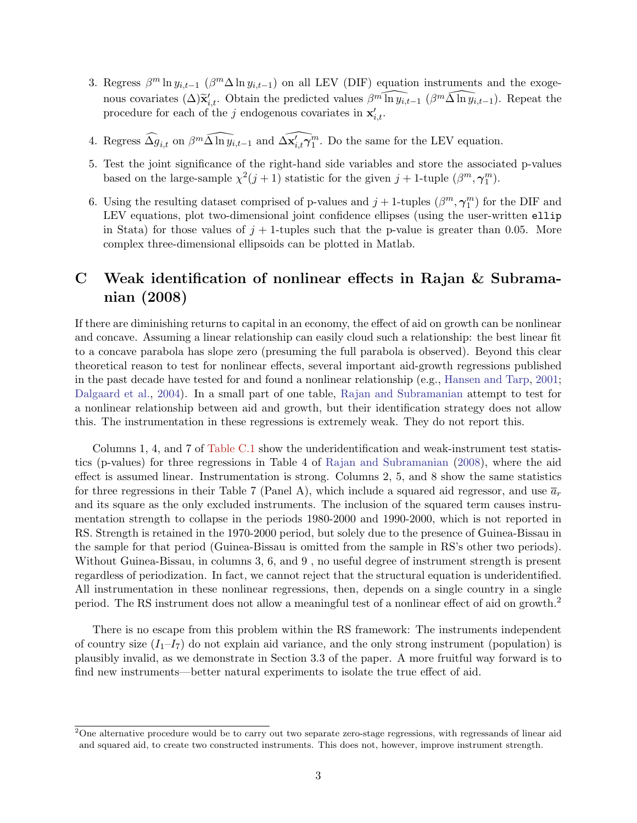- 3. Regress  $\beta^m \ln y_{i,t-1}$  ( $\beta^m \Delta \ln y_{i,t-1}$ ) on all LEV (DIF) equation instruments and the exogenous covariates  $(\Delta) \tilde{\mathbf{x}}'_{i,t}$ . Obtain the predicted values  $\beta^m \widehat{\ln y_{i,t-1}}$  ( $\beta^m \widehat{\Delta \ln y_{i,t-1}}$ ). Repeat the procedure for each of the  $j$  endogenous covariates in  $\mathbf{x}'_{i,t}$ .
- 4. Regress  $\widehat{\Delta g}_{i,t}$  on  $\beta^m \widehat{\Delta \ln y}_{i,t-1}$  and  $\widehat{\Delta x'_{i,t}\gamma_1^m}$ . Do the same for the LEV equation.
- 5. Test the joint significance of the right-hand side variables and store the associated p-values based on the large-sample  $\chi^2(j+1)$  statistic for the given  $j+1$ -tuple  $(\beta^m, \gamma_1^m)$ .
- 6. Using the resulting dataset comprised of p-values and  $j+1$ -tuples  $(\beta^m, \gamma^m_1)$  for the DIF and LEV equations, plot two-dimensional joint confidence ellipses (using the user-written ellip in Stata) for those values of  $j + 1$ -tuples such that the p-value is greater than 0.05. More complex three-dimensional ellipsoids can be plotted in Matlab.

## C Weak identification of nonlinear effects in Rajan & Subramanian (2008)

If there are diminishing returns to capital in an economy, the effect of aid on growth can be nonlinear and concave. Assuming a linear relationship can easily cloud such a relationship: the best linear fit to a concave parabola has slope zero (presuming the full parabola is observed). Beyond this clear theoretical reason to test for nonlinear effects, several important aid-growth regressions published in the past decade have tested for and found a nonlinear relationship (e.g., [Hansen and Tarp,](#page-15-4) [2001;](#page-15-4) [Dalgaard et al.,](#page-15-5) [2004\)](#page-15-5). In a small part of one table, [Rajan and Subramanian](#page-15-6) attempt to test for a nonlinear relationship between aid and growth, but their identification strategy does not allow this. The instrumentation in these regressions is extremely weak. They do not report this.

Columns 1, 4, and 7 of [Table C.1](#page-3-0) show the underidentification and weak-instrument test statistics (p-values) for three regressions in Table 4 of [Rajan and Subramanian](#page-15-6) [\(2008\)](#page-15-6), where the aid effect is assumed linear. Instrumentation is strong. Columns 2, 5, and 8 show the same statistics for three regressions in their Table 7 (Panel A), which include a squared aid regressor, and use  $\bar{a}_r$ and its square as the only excluded instruments. The inclusion of the squared term causes instrumentation strength to collapse in the periods 1980-2000 and 1990-2000, which is not reported in RS. Strength is retained in the 1970-2000 period, but solely due to the presence of Guinea-Bissau in the sample for that period (Guinea-Bissau is omitted from the sample in RS's other two periods). Without Guinea-Bissau, in columns 3, 6, and 9 , no useful degree of instrument strength is present regardless of periodization. In fact, we cannot reject that the structural equation is underidentified. All instrumentation in these nonlinear regressions, then, depends on a single country in a single period. The RS instrument does not allow a meaningful test of a nonlinear effect of aid on growth.<sup>2</sup>

There is no escape from this problem within the RS framework: The instruments independent of country size  $(I_1-I_7)$  do not explain aid variance, and the only strong instrument (population) is plausibly invalid, as we demonstrate in Section 3.3 of the paper. A more fruitful way forward is to find new instruments—better natural experiments to isolate the true effect of aid.

<sup>&</sup>lt;sup>2</sup>One alternative procedure would be to carry out two separate zero-stage regressions, with regressands of linear aid and squared aid, to create two constructed instruments. This does not, however, improve instrument strength.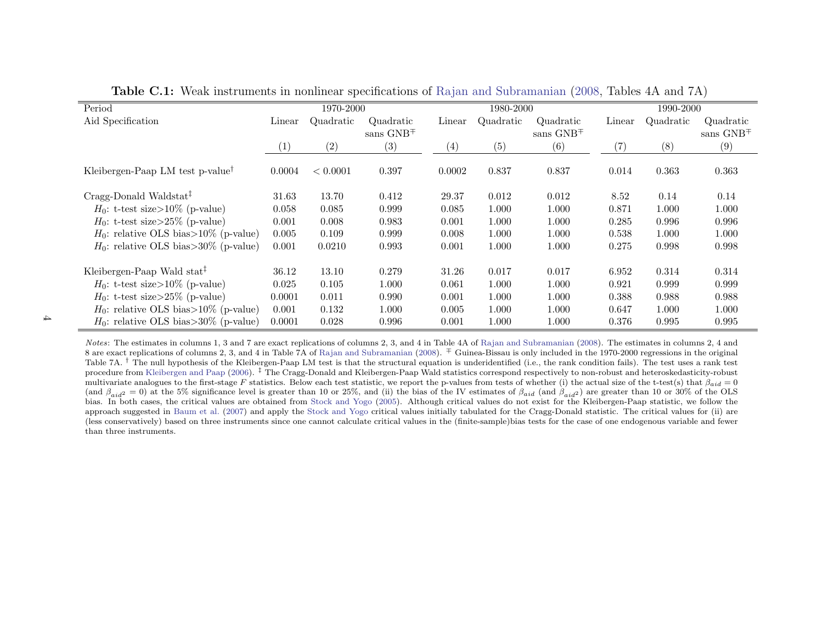| Period                                       | 1970-2000 |           |             |        | 1980-2000 |             | 1990-2000 |           |               |  |
|----------------------------------------------|-----------|-----------|-------------|--------|-----------|-------------|-----------|-----------|---------------|--|
| Aid Specification                            | Linear    | Quadratic | Quadratic   | Linear | Quadratic | Quadratic   | Linear    | Quadratic | Quadratic     |  |
|                                              |           |           | sans $GNB+$ |        |           | sans $GNB+$ |           |           | sans $GNB\mp$ |  |
|                                              | (1)       | (2)       | (3)         | (4)    | (5)       | (6)         | (7)       | (8)       | (9)           |  |
| Kleibergen-Paap LM test p-value <sup>†</sup> | 0.0004    | < 0.0001  | 0.397       | 0.0002 | 0.837     | 0.837       | 0.014     | 0.363     | 0.363         |  |
| Cragg-Donald Waldstat <sup>‡</sup>           | 31.63     | 13.70     | 0.412       | 29.37  | 0.012     | 0.012       | 8.52      | 0.14      | 0.14          |  |
| $H_0$ : t-test size>10% (p-value)            | 0.058     | 0.085     | 0.999       | 0.085  | 1.000     | 1.000       | 0.871     | 1.000     | 1.000         |  |
| $H_0$ : t-test size>25% (p-value)            | 0.001     | 0.008     | 0.983       | 0.001  | 1.000     | 1.000       | 0.285     | 0.996     | 0.996         |  |
| $H_0$ : relative OLS bias>10% (p-value)      | 0.005     | 0.109     | 0.999       | 0.008  | 1.000     | 1.000       | 0.538     | 1.000     | 1.000         |  |
| $H_0$ : relative OLS bias>30% (p-value)      | 0.001     | 0.0210    | 0.993       | 0.001  | 1.000     | 1.000       | 0.275     | 0.998     | 0.998         |  |
| Kleibergen-Paap Wald stat <sup>‡</sup>       | 36.12     | 13.10     | 0.279       | 31.26  | 0.017     | 0.017       | 6.952     | 0.314     | 0.314         |  |
| $H_0$ : t-test size>10% (p-value)            | 0.025     | 0.105     | 1.000       | 0.061  | 1.000     | 1.000       | 0.921     | 0.999     | 0.999         |  |
| $H_0$ : t-test size>25% (p-value)            | 0.0001    | 0.011     | 0.990       | 0.001  | 1.000     | 1.000       | 0.388     | 0.988     | 0.988         |  |
| $H_0$ : relative OLS bias>10% (p-value)      | 0.001     | 0.132     | 1.000       | 0.005  | 1.000     | 1.000       | 0.647     | 1.000     | 1.000         |  |
| $H_0$ : relative OLS bias>30% (p-value)      | 0.0001    | 0.028     | 0.996       | 0.001  | 1.000     | 1.000       | 0.376     | 0.995     | 0.995         |  |

Table C.1: Weak instruments in nonlinear specifications of Rajan and [Subramanian](#page-15-7) [\(2008,](#page-15-7) Tables 4A and 7A)

<span id="page-3-0"></span>Notes: The estimates in columns 1, 3 and 7 are exact replications of columns 2, 3, and 4 in Table 4A of Rajan and [Subramanian](#page-15-7) [\(2008\)](#page-15-7). The estimates in columns 2, <sup>4</sup> and 8 are exact replications of columns 2, 3, and 4 in Table 7A of Rajan and [Subramanian](#page-15-7) [\(2008\)](#page-15-7). <sup>∓</sup> Guinea-Bissau is only included in the 1970-2000 regressions in the original Table 7A.  $^{\dagger}$  The null hypothesis of the Kleibergen-Paap LM test is that the structural equation is underidentified (i.e., the rank condition fails). The test uses a rank test procedure from [Kleibergen](#page-15-8) and Paap [\(2006\)](#page-15-8). <sup>‡</sup> The Cragg-Donald and Kleibergen-Paap Wald statistics correspond respectively to non-robust and heteroskedasticity-robust  $\frac{1}{2}$  and  $\frac{1}{2}$  and  $\frac{1}{2}$  and  $\frac{1}{2}$  a multivariate analogues to the first-stage F statistics. Below each test statistic, we report the p-values from tests of whether (i) the actual size of the t-test(s) that  $\beta_{aid} = 0$ (and  $\beta_{aid2} = 0$ ) at the 5% significance level is greater than 10 or 25%, and (ii) the bias of the IV estimates of  $\beta_{aid}$  (and  $\beta_{aid2}$ ) are greater than 10 or 30% of the OLS bias. In both cases, the critical values are obtained from Stock and [Yogo](#page-15-9) [\(2005\)](#page-15-9). Although critical values do not exist for the Kleibergen-Paap statistic, we follow the contracted in Bourn of al. (2007) and apply the Stock approach suggested in [Baum](#page-15-10) et al. [\(2007\)](#page-15-10) and apply the Stock and [Yogo](#page-15-9) critical values initially tabulated for the Cragg-Donald statistic. The critical values for (ii) are (less conservatively) based on three instruments since one cannot calculate critical values in the (finite-sample)bias tests for the case of one endogenous variable and fewerthan three instruments.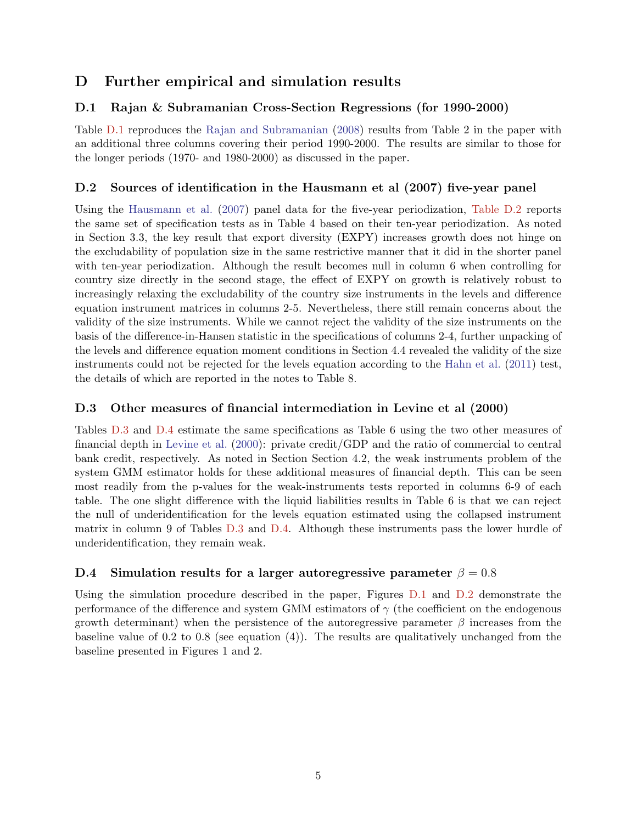# D Further empirical and simulation results

## D.1 Rajan & Subramanian Cross-Section Regressions (for 1990-2000)

Table [D.1](#page-5-0) reproduces the [Rajan and Subramanian](#page-15-6) [\(2008\)](#page-15-6) results from Table 2 in the paper with an additional three columns covering their period 1990-2000. The results are similar to those for the longer periods (1970- and 1980-2000) as discussed in the paper.

## D.2 Sources of identification in the Hausmann et al (2007) five-year panel

Using the [Hausmann et al.](#page-15-11) [\(2007\)](#page-15-11) panel data for the five-year periodization, [Table D.2](#page-6-0) reports the same set of specification tests as in Table 4 based on their ten-year periodization. As noted in Section 3.3, the key result that export diversity (EXPY) increases growth does not hinge on the excludability of population size in the same restrictive manner that it did in the shorter panel with ten-year periodization. Although the result becomes null in column 6 when controlling for country size directly in the second stage, the effect of EXPY on growth is relatively robust to increasingly relaxing the excludability of the country size instruments in the levels and difference equation instrument matrices in columns 2-5. Nevertheless, there still remain concerns about the validity of the size instruments. While we cannot reject the validity of the size instruments on the basis of the difference-in-Hansen statistic in the specifications of columns 2-4, further unpacking of the levels and difference equation moment conditions in Section 4.4 revealed the validity of the size instruments could not be rejected for the levels equation according to the [Hahn et al.](#page-15-12) [\(2011\)](#page-15-12) test, the details of which are reported in the notes to Table 8.

## D.3 Other measures of financial intermediation in Levine et al (2000)

Tables [D.3](#page-7-0) and [D.4](#page-8-0) estimate the same specifications as Table 6 using the two other measures of financial depth in [Levine et al.](#page-15-13) [\(2000\)](#page-15-13): private credit/GDP and the ratio of commercial to central bank credit, respectively. As noted in Section Section 4.2, the weak instruments problem of the system GMM estimator holds for these additional measures of financial depth. This can be seen most readily from the p-values for the weak-instruments tests reported in columns 6-9 of each table. The one slight difference with the liquid liabilities results in Table 6 is that we can reject the null of underidentification for the levels equation estimated using the collapsed instrument matrix in column 9 of Tables [D.3](#page-7-0) and [D.4.](#page-8-0) Although these instruments pass the lower hurdle of underidentification, they remain weak.

## D.4 Simulation results for a larger autoregressive parameter  $\beta = 0.8$

Using the simulation procedure described in the paper, Figures [D.1](#page-9-0) and [D.2](#page-10-0) demonstrate the performance of the difference and system GMM estimators of  $\gamma$  (the coefficient on the endogenous growth determinant) when the persistence of the autoregressive parameter  $\beta$  increases from the baseline value of 0.2 to 0.8 (see equation  $(4)$ ). The results are qualitatively unchanged from the baseline presented in Figures 1 and 2.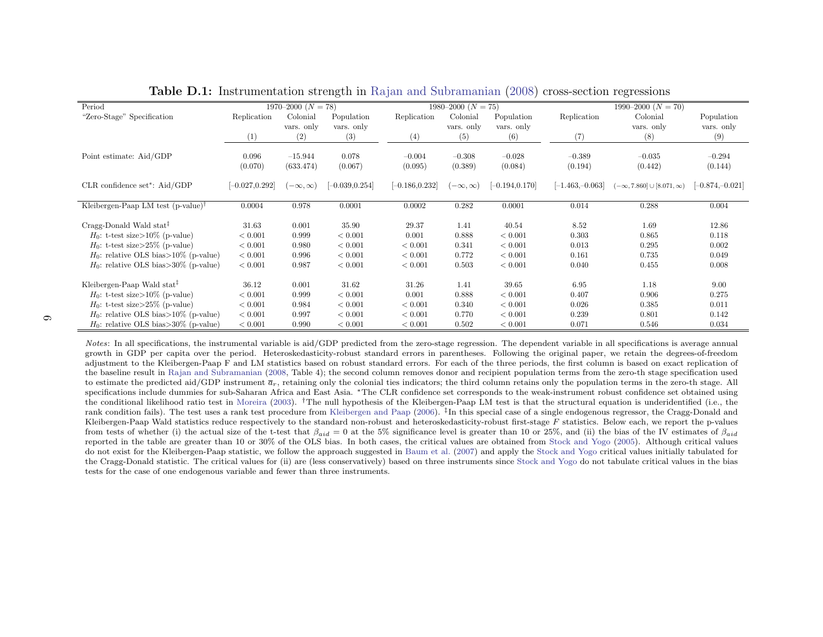<span id="page-5-1"></span>

| Period                                                  |                   | $1970-2000$ $(N = 78)$ |                  |                  | 1980–2000 ( $N = 75$ ) |                  |                  | $1990-2000 (N = 70)$                    |                 |
|---------------------------------------------------------|-------------------|------------------------|------------------|------------------|------------------------|------------------|------------------|-----------------------------------------|-----------------|
| "Zero-Stage" Specification                              | Replication       | Colonial               | Population       | Replication      | Colonial               | Population       | Replication      | Colonial                                | Population      |
|                                                         |                   | vars. only             | vars. only       |                  | vars. only             | vars. only       |                  | vars. only                              | vars. only      |
|                                                         | (1)               | (2)                    | (3)              | (4)              | (5)                    | (6)              | (7)              | (8)                                     | (9)             |
|                                                         |                   |                        |                  |                  |                        |                  |                  |                                         |                 |
| Point estimate: Aid/GDP                                 | 0.096             | $-15.944$              | 0.078            | $-0.004$         | $-0.308$               | $-0.028$         | $-0.389$         | $-0.035$                                | $-0.294$        |
|                                                         | (0.070)           | (633.474)              | (0.067)          | (0.095)          | (0.389)                | (0.084)          | (0.194)          | (0.442)                                 | (0.144)         |
|                                                         |                   |                        |                  |                  |                        |                  |                  |                                         |                 |
| $CLR$ confidence set*: $Aid/GDP$                        | $[-0.027, 0.292]$ | $-\infty, \infty)$     | $-0.039, 0.254]$ | $-0.186, 0.232]$ | $[-\infty,\infty)$     | $-0.194, 0.170]$ | $-1.463,-0.063]$ | $(-\infty, 7.860] \cup [8.071, \infty)$ | $-0.874,-0.021$ |
|                                                         |                   |                        |                  |                  |                        |                  |                  |                                         |                 |
| Kleibergen-Paap LM test $(p-value)^{\dagger}$           | 0.0004            | 0.978                  | 0.0001           | 0.0002           | 0.282                  | 0.0001           | 0.014            | 0.288                                   | 0.004           |
| Cragg-Donald Wald stat <sup><math>\ddagger</math></sup> | 31.63             | 0.001                  | 35.90            | 29.37            | 1.41                   | 40.54            | 8.52             | 1.69                                    | 12.86           |
| $H_0$ : t-test size>10% (p-value)                       | < 0.001           | 0.999                  | < 0.001          | 0.001            | 0.888                  | < 0.001          | 0.303            | 0.865                                   | 0.118           |
| $H_0$ : t-test size>25% (p-value)                       | < 0.001           | 0.980                  | < 0.001          | < 0.001          | 0.341                  | < 0.001          | 0.013            | 0.295                                   | 0.002           |
| $H_0$ : relative OLS bias>10% (p-value)                 | < 0.001           | 0.996                  | < 0.001          | < 0.001          | 0.772                  | < 0.001          | 0.161            | 0.735                                   | 0.049           |
| $H_0$ : relative OLS bias>30% (p-value)                 | < 0.001           | 0.987                  | < 0.001          | < 0.001          | 0.503                  | < 0.001          | 0.040            | 0.455                                   | 0.008           |
|                                                         |                   |                        |                  |                  |                        |                  |                  |                                         |                 |
| Kleibergen-Paap Wald stat <sup>‡</sup>                  | 36.12             | 0.001                  | 31.62            | 31.26            | 1.41                   | 39.65            | 6.95             | 1.18                                    | 9.00            |
| $H_0$ : t-test size>10% (p-value)                       | < 0.001           | 0.999                  | < 0.001          | 0.001            | 0.888                  | < 0.001          | 0.407            | 0.906                                   | 0.275           |
| $H_0$ : t-test size>25% (p-value)                       | < 0.001           | 0.984                  | < 0.001          | < 0.001          | 0.340                  | < 0.001          | 0.026            | 0.385                                   | 0.011           |
| $H_0$ : relative OLS bias>10% (p-value)                 | < 0.001           | 0.997                  | < 0.001          | < 0.001          | 0.770                  | < 0.001          | 0.239            | 0.801                                   | 0.142           |
| $H_0$ : relative OLS bias>30% (p-value)                 | < 0.001           | 0.990                  | < 0.001          | < 0.001          | 0.502                  | < 0.001          | 0.071            | 0.546                                   | 0.034           |
|                                                         |                   |                        |                  |                  |                        |                  |                  |                                         |                 |

|--|

<span id="page-5-0"></span>Notes: In all specifications, the instrumental variable is aid/GDP predicted from the zero-stage regression. The dependent variable in all specifications is average annual growth in GDP per capita over the period. Heteroskedasticity-robust standard errors in parentheses. Following the original paper, we retain the degrees-of-freedom adjustment to the Kleibergen-Paap F and LM statistics based on robust standard errors. For each of the three periods, the first column is based on exact replication of the baseline result in Rajan and [Subramanian](#page-15-7) [\(2008,](#page-15-7) Table 4); the second column removes donor and recipient population terms from the zero-th stage specification used to estimate the predicted aid/GDP instrument  $\bar{a}_r$ , retaining only the colonial ties indicators; the third column retains only the population terms in the zero-th stage. All specifications include dummies for sub-Saharan Africa and East Asia. <sup>∗</sup>The CLR confidence set corresponds to the weak-instrument robust confidence set obtained usingthe conditional likelihood ratio test in [Moreira](#page-15-14) [\(2003\)](#page-15-14). <sup>†</sup>The null hypothesis of the Kleibergen-Paap LM test is that the structural equation is underidentified (i.e., the rank condition fails). The test uses a rank test procedure from [Kleibergen](#page-15-8) and Paap [\(2006\)](#page-15-8). <sup>‡</sup>In this special case of a single endogenous regressor, the Cragg-Donald and Kleibergen Boom Weld statistics reduces regressor, Kleibergen-Paap Wald statistics reduce respectively to the standard non-robust and heteroskedasticity-robust first-stage F statistics. Below each, we report the p-values from tests of whether (i) the actual size of the t-test that  $\beta_{aid} = 0$  at the 5% significance level is greater than 10 or 25%, and (ii) the bias of the IV estimates of  $\beta_{aid}$ reported in the table are greater than 10 or 30% of the OLS bias. In both cases, the critical values are obtained from Stock and [Yogo](#page-15-9) [\(2005\)](#page-15-9). Although critical values<br>do not suite for the Kleibergen Boan statistics we foll do not exist for the Kleibergen-Paap statistic, we follow the approach suggested in [Baum](#page-15-10) et al. ([2007\)](#page-15-10) and apply the Stock and [Yogo](#page-15-9) critical values initially tabulated for the Cragg-Donald statistic. The critical values for (ii) are (less conservatively) based on three instruments since Stock and [Yogo](#page-15-9) do not tabulate critical values in the bias tests for the case of one endogenous variable and fewer than three instruments.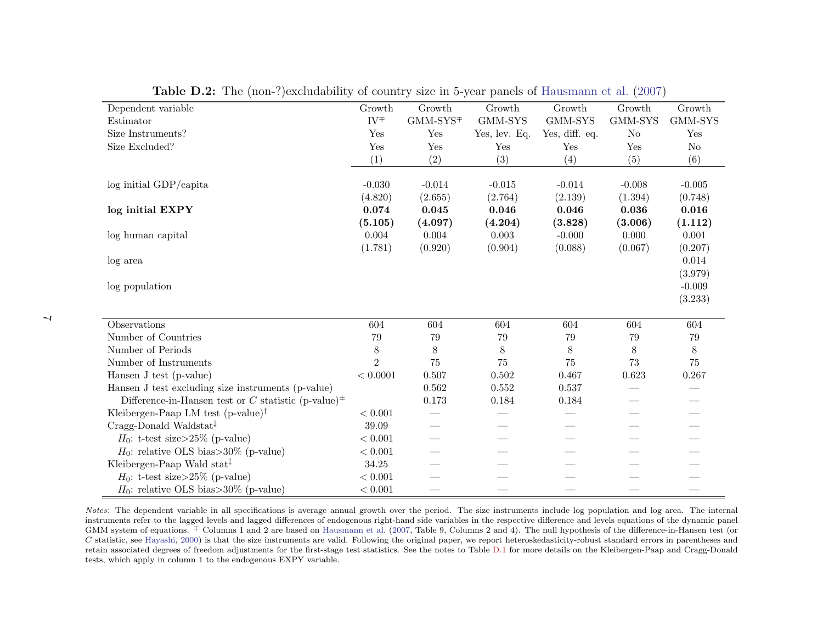| Dependent variable                                                             | Growth         | Growth     | Growth        | Growth         | Growth         | Growth         |
|--------------------------------------------------------------------------------|----------------|------------|---------------|----------------|----------------|----------------|
| Estimator                                                                      | $IV^{\mp}$     | $GMM-SYS+$ | GMM-SYS       | GMM-SYS        | GMM-SYS        | GMM-SYS        |
| Size Instruments?                                                              | Yes            | Yes        | Yes, lev. Eq. | Yes, diff. eq. | N <sub>o</sub> | Yes            |
| Size Excluded?                                                                 | Yes            | Yes        | Yes           | Yes            | Yes            | N <sub>o</sub> |
|                                                                                | (1)            | (2)        | (3)           | (4)            | (5)            | (6)            |
|                                                                                |                |            |               |                |                |                |
| $log$ initial GDP/capita                                                       | $-0.030$       | $-0.014$   | $-0.015$      | $-0.014$       | $-0.008$       | $-0.005$       |
|                                                                                | (4.820)        | (2.655)    | (2.764)       | (2.139)        | (1.394)        | (0.748)        |
| log initial EXPY                                                               | 0.074          | 0.045      | 0.046         | 0.046          | 0.036          | 0.016          |
|                                                                                | (5.105)        | (4.097)    | (4.204)       | (3.828)        | (3.006)        | (1.112)        |
| log human capital                                                              | 0.004          | 0.004      | 0.003         | $-0.000$       | 0.000          | 0.001          |
|                                                                                | (1.781)        | (0.920)    | (0.904)       | (0.088)        | (0.067)        | (0.207)        |
| log area                                                                       |                |            |               |                |                | 0.014          |
|                                                                                |                |            |               |                |                | (3.979)        |
| log population                                                                 |                |            |               |                |                | $-0.009$       |
|                                                                                |                |            |               |                |                | (3.233)        |
|                                                                                |                |            |               |                |                |                |
| Observations                                                                   | 604            | 604        | 604           | 604            | 604            | 604            |
| Number of Countries                                                            | 79             | 79         | 79            | 79             | 79             | 79             |
| Number of Periods                                                              | 8              | $8\,$      | 8             | 8              | $8\,$          | $8\,$          |
| Number of Instruments                                                          | $\overline{2}$ | $75\,$     | 75            | 75             | 73             | 75             |
| Hansen J test (p-value)                                                        | < 0.0001       | 0.507      | 0.502         | 0.467          | 0.623          | 0.267          |
| Hansen J test excluding size instruments (p-value)                             |                | 0.562      | 0.552         | 0.537          |                |                |
| Difference-in-Hansen test or C statistic (p-value) <sup><math>\pm</math></sup> |                | 0.173      | 0.184         | 0.184          |                |                |
| Kleibergen-Paap LM test $(p-value)^{\dagger}$                                  | < 0.001        |            |               |                |                |                |
| Cragg-Donald Waldstat <sup>‡</sup>                                             | 39.09          |            |               |                |                |                |
| $H_0$ : t-test size>25% (p-value)                                              | < 0.001        |            |               |                |                |                |
| $H_0$ : relative OLS bias>30% (p-value)                                        | < 0.001        |            |               |                |                |                |
| Kleibergen-Paap Wald stat <sup>†</sup>                                         | 34.25          |            |               |                |                |                |
| $H_0$ : t-test size>25% (p-value)                                              | < 0.001        |            |               |                |                |                |
| $H_0$ : relative OLS bias>30% (p-value)                                        | $< 0.001\,$    |            |               |                |                |                |

<span id="page-6-0"></span>Table D.2: The (non-?)excludability of country size in 5-year panels of [Hausmann](#page-15-15) et al. ([2007\)](#page-15-15)

Notes: The dependent variable in all specifications is average annual growth over the period. The size instruments include log population and log area. The internal instruments refer to the lagged levels and lagged differences of endogenous right-hand side variables in the respective difference and levels equations of the dynamic panel GMM system of equations. <sup>∓</sup> Columns <sup>1</sup> and <sup>2</sup> are based on [Hausmann](#page-15-15) et al. ([2007,](#page-15-15) Table 9, Columns <sup>2</sup> and 4). The null hypothesis of the difference-in-Hansen test (or C statistic, see [Hayashi,](#page-15-16) [2000\)](#page-15-16) is that the size instruments are valid. Following the original paper, we report heteroskedasticity-robust standard errors in parentheses and  $\alpha$  is a constant the size of forest part in th retain associated degrees of freedom adjustments for the first-stage test statistics. See the notes to Table [D.1](#page-5-1) for more details on the Kleibergen-Paap and Cragg-Donaldtests, which apply in column 1 to the endogenous EXPY variable.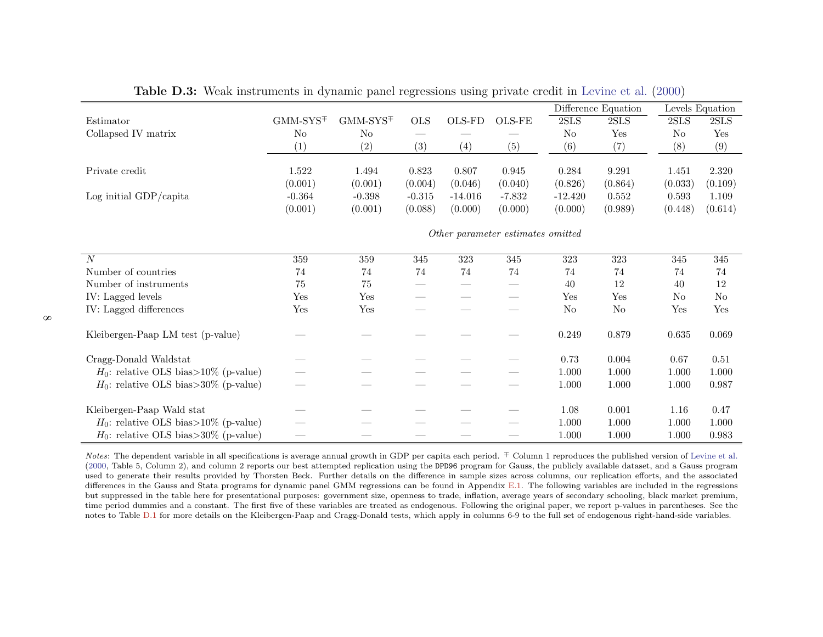|                                         |            |            |              |           |                                   |                | Difference Equation |         | Levels Equation |
|-----------------------------------------|------------|------------|--------------|-----------|-----------------------------------|----------------|---------------------|---------|-----------------|
| Estimator                               | $GMM-SYS+$ | $GMM-SYS+$ | $_{\rm OLS}$ | OLS-FD    | OLS-FE                            | 2SLS           | 2SLS                | 2SLS    | 2SLS            |
| Collapsed IV matrix                     | No         | No         |              |           |                                   | N <sub>o</sub> | Yes                 | No      | Yes             |
|                                         | (1)        | (2)        | (3)          | (4)       | (5)                               | (6)            | (7)                 | (8)     | (9)             |
|                                         |            |            |              |           |                                   |                |                     |         |                 |
| Private credit                          | 1.522      | 1.494      | 0.823        | 0.807     | 0.945                             | 0.284          | 9.291               | 1.451   | 2.320           |
|                                         | (0.001)    | (0.001)    | (0.004)      | (0.046)   | (0.040)                           | (0.826)        | (0.864)             | (0.033) | (0.109)         |
| Log initial $GDP/c$ apita               | $-0.364$   | $-0.398$   | $-0.315$     | $-14.016$ | $-7.832$                          | $-12.420$      | 0.552               | 0.593   | 1.109           |
|                                         | (0.001)    | (0.001)    | (0.088)      | (0.000)   | (0.000)                           | (0.000)        | (0.989)             | (0.448) | (0.614)         |
|                                         |            |            |              |           | Other parameter estimates omitted |                |                     |         |                 |
| $\overline{N}$                          | 359        | 359        | 345          | 323       | 345                               | 323            | 323                 | 345     | 345             |
| Number of countries                     | 74         | 74         | 74           | 74        | 74                                | 74             | 74                  | 74      | 74              |
| Number of instruments                   | 75         | 75         |              |           |                                   | 40             | 12                  | 40      | 12              |
| IV: Lagged levels                       | Yes        | Yes        |              |           |                                   | Yes            | Yes                 | No      | N <sub>o</sub>  |
| IV: Lagged differences                  | Yes        | Yes        |              |           |                                   | No             | $\rm No$            | Yes     | Yes             |
| Kleibergen-Paap LM test (p-value)       |            |            |              |           |                                   | 0.249          | 0.879               | 0.635   | 0.069           |
| Cragg-Donald Waldstat                   |            |            |              |           |                                   | 0.73           | 0.004               | 0.67    | 0.51            |
| $H_0$ : relative OLS bias>10% (p-value) |            |            |              |           |                                   | $1.000\,$      | 1.000               | 1.000   | 1.000           |
| $H_0$ : relative OLS bias>30% (p-value) |            |            |              |           |                                   | 1.000          | 1.000               | 1.000   | 0.987           |
| Kleibergen-Paap Wald stat               |            |            |              |           |                                   | 1.08           | 0.001               | 1.16    | 0.47            |
| $H_0$ : relative OLS bias>10% (p-value) |            |            |              |           |                                   | 1.000          | 1.000               | 1.000   | 1.000           |
| $H_0$ : relative OLS bias>30% (p-value) |            |            |              |           |                                   | 1.000          | 1.000               | 1.000   | 0.983           |

Table D.3: Weak instruments in dynamic pane<sup>l</sup> regressions using private credit in [Levine](#page-15-17) et al. ([2000\)](#page-15-17)

<span id="page-7-0"></span>Notes: The dependent variable in all specifications is average annual growth in GDP per capita each period. <sup>∓</sup> Column 1 reproduces the published version of [Levine](#page-15-17) et al. [\(2000,](#page-15-17) Table 5, Column 2), and column <sup>2</sup> reports our best attempted replication using the DPD96 program for Gauss, the publicly available dataset, and <sup>a</sup> Gauss program used to generate their results provided by Thorsten Beck. Further details on the difference in sample sizes across columns, our replication efforts, and the associated differences in the Gauss and Stata programs for dynamic panel GMM regressions can be found in Appendix [E.1.](#page-11-0) The following variables are included in the regressions but suppressed in the table here for presentational purposes: government size, openness to trade, inflation, average years of secondary schooling, black market premium, time period dummies and <sup>a</sup> constant. The first five of these variables are treated as endogenous. Following the original paper, we report p-values in parentheses. See thenotes to Table [D.1](#page-5-1) for more details on the Kleibergen-Paap and Cragg-Donald tests, which apply in columns 6-9 to the full set of endogenous right-hand-side variables.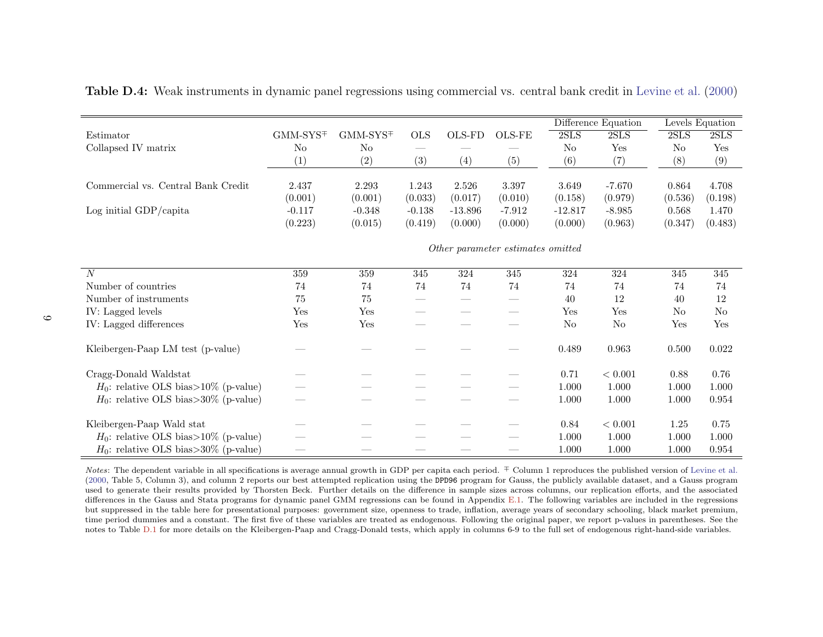|                                         |                |                                             |            |           |                                   |                | Difference Equation |                | Levels Equation |  |
|-----------------------------------------|----------------|---------------------------------------------|------------|-----------|-----------------------------------|----------------|---------------------|----------------|-----------------|--|
| Estimator                               | $GMM-SYS+$     | $\text{GMM-}\text{SYS}\textcolor{red}{\mp}$ | <b>OLS</b> | OLS-FD    | $\rm OLS\text{-}FE$               | 2SLS           | 2SLS                | 2SLS           | 2SLS            |  |
| Collapsed IV matrix                     | N <sub>o</sub> | No                                          |            |           |                                   | N <sub>o</sub> | Yes                 | N <sub>o</sub> | Yes             |  |
|                                         | (1)            | (2)                                         | (3)        | (4)       | (5)                               | (6)            | (7)                 | (8)            | (9)             |  |
|                                         |                |                                             |            |           |                                   |                |                     |                |                 |  |
| Commercial vs. Central Bank Credit      | 2.437          | 2.293                                       | 1.243      | 2.526     | 3.397                             | 3.649          | $-7.670$            | 0.864          | 4.708           |  |
|                                         | (0.001)        | (0.001)                                     | (0.033)    | (0.017)   | (0.010)                           | (0.158)        | (0.979)             | (0.536)        | (0.198)         |  |
| Log initial GDP/capita                  | $-0.117$       | $-0.348$                                    | $-0.138$   | $-13.896$ | $-7.912$                          | $-12.817$      | $-8.985$            | 0.568          | 1.470           |  |
|                                         | (0.223)        | (0.015)                                     | (0.419)    | (0.000)   | (0.000)                           | (0.000)        | (0.963)             | (0.347)        | (0.483)         |  |
|                                         |                |                                             |            |           | Other parameter estimates omitted |                |                     |                |                 |  |
|                                         |                |                                             |            |           |                                   |                |                     |                |                 |  |
| $\overline{N}$                          | 359            | 359                                         | 345        | 324       | 345                               | $324\,$        | $324\,$             | 345            | 345             |  |
| Number of countries                     | 74             | 74                                          | 74         | 74        | 74                                | 74             | 74                  | 74             | 74              |  |
| Number of instruments                   | 75             | 75                                          |            |           |                                   | 40             | 12                  | 40             | 12              |  |
| IV: Lagged levels                       | Yes            | Yes                                         |            |           |                                   | Yes            | Yes                 | No             | N <sub>o</sub>  |  |
| IV: Lagged differences                  | Yes            | Yes                                         |            |           |                                   | N <sub>o</sub> | No                  | Yes            | Yes             |  |
|                                         |                |                                             |            |           |                                   |                |                     |                |                 |  |
| Kleibergen-Paap LM test (p-value)       |                |                                             |            |           |                                   | 0.489          | 0.963               | 0.500          | 0.022           |  |
| Cragg-Donald Waldstat                   |                |                                             |            |           |                                   | 0.71           | < 0.001             | 0.88           | 0.76            |  |
| $H_0$ : relative OLS bias>10% (p-value) |                |                                             |            |           |                                   | 1.000          | 1.000               | 1.000          | 1.000           |  |
| $H_0$ : relative OLS bias>30% (p-value) |                |                                             |            |           |                                   | 1.000          | $1.000\,$           | 1.000          | 0.954           |  |
|                                         |                |                                             |            |           |                                   |                |                     |                |                 |  |
| Kleibergen-Paap Wald stat               |                |                                             |            |           |                                   | 0.84           | < 0.001             | 1.25           | 0.75            |  |
| $H_0$ : relative OLS bias>10% (p-value) |                |                                             |            |           |                                   | 1.000          | 1.000               | 1.000          | 1.000           |  |
| $H_0$ : relative OLS bias>30% (p-value) |                |                                             |            |           |                                   | 1.000          | 1.000               | 1.000          | 0.954           |  |

Table D.4: Weak instruments in dynamic pane<sup>l</sup> regressions using commercial vs. central bank credit in [Levine](#page-15-17) et al. [\(2000\)](#page-15-17)

<span id="page-8-0"></span>Notes: The dependent variable in all specifications is average annual growth in GDP per capita each period. <sup>∓</sup> Column 1 reproduces the published version of [Levine](#page-15-17) et al. [\(2000,](#page-15-17) Table 5, Column 3), and column <sup>2</sup> reports our best attempted replication using the DPD96 program for Gauss, the publicly available dataset, and <sup>a</sup> Gauss program used to generate their results provided by Thorsten Beck. Further details on the difference in sample sizes across columns, our replication efforts, and the associated differences in the Gauss and Stata programs for dynamic panel GMM regressions can be found in Appendix [E.1.](#page-11-0) The following variables are included in the regressions but suppressed in the table here for presentational purposes: government size, openness to trade, inflation, average years of secondary schooling, black market premium, time period dummies and <sup>a</sup> constant. The first five of these variables are treated as endogenous. Following the original paper, we report p-values in parentheses. See thenotes to Table [D.1](#page-5-1) for more details on the Kleibergen-Paap and Cragg-Donald tests, which apply in columns 6-9 to the full set of endogenous right-hand-side variables.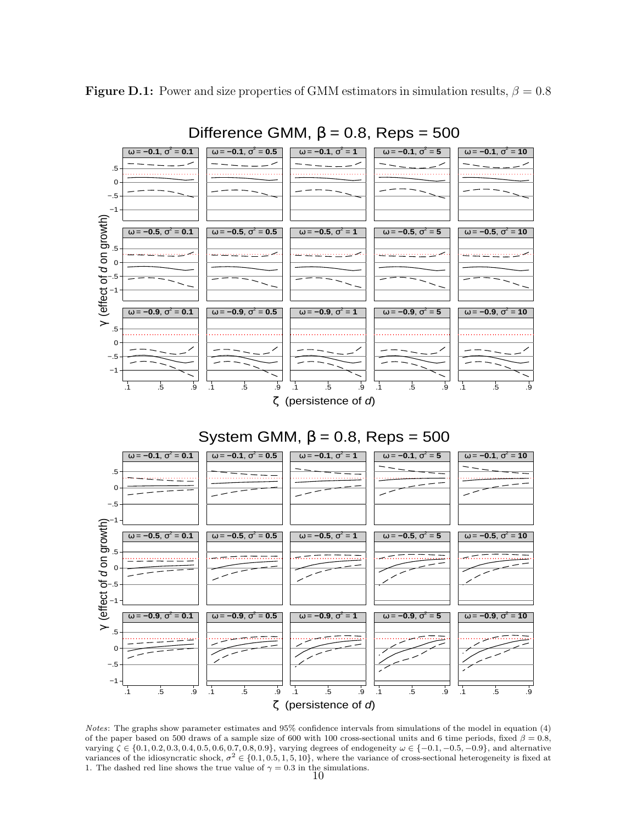<span id="page-9-0"></span>**Figure D.1:** Power and size properties of GMM estimators in simulation results,  $\beta = 0.8$ 



Difference GMM,  $β = 0.8$ , Reps = 500

# System GMM,  $β = 0.8$ , Reps = 500



Notes: The graphs show parameter estimates and 95% confidence intervals from simulations of the model in equation (4) of the paper based on 500 draws of a sample size of 600 with 100 cross-sectional units and 6 time periods, fixed  $\beta = 0.8$ , varying  $\zeta \in \{0.1, 0.2, 0.3, 0.4, 0.5, 0.6, 0.7, 0.8, 0.9\}$ , varying degrees of endogeneity  $\omega \in \{-0.1, -0.5, -0.9\}$ , and alternative variances of the idiosyncratic shock,  $\sigma^2 \in \{0.1, 0.5, 1, 5, 10\}$ , where the variance of cross-sectional heterogeneity is fixed at 1. The dashed red line shows the true value of  $\gamma = 0.3$  in the simulations.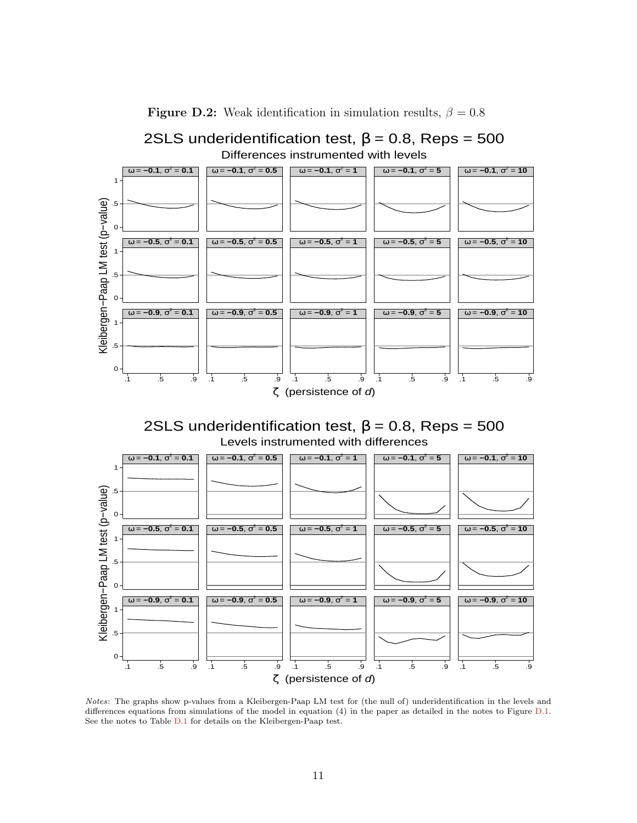<span id="page-10-0"></span>

**Figure D.2:** Weak identification in simulation results,  $\beta = 0.8$ 





Notes: The graphs show p-values from a Kleibergen-Paap LM test for (the null of) underidentification in the levels and differences equations from simulations of the model in equation (4) in the paper as detailed in the notes to Figure [D.1.](#page-9-0) See the notes to Table [D.1](#page-5-0) for details on the Kleibergen-Paap test.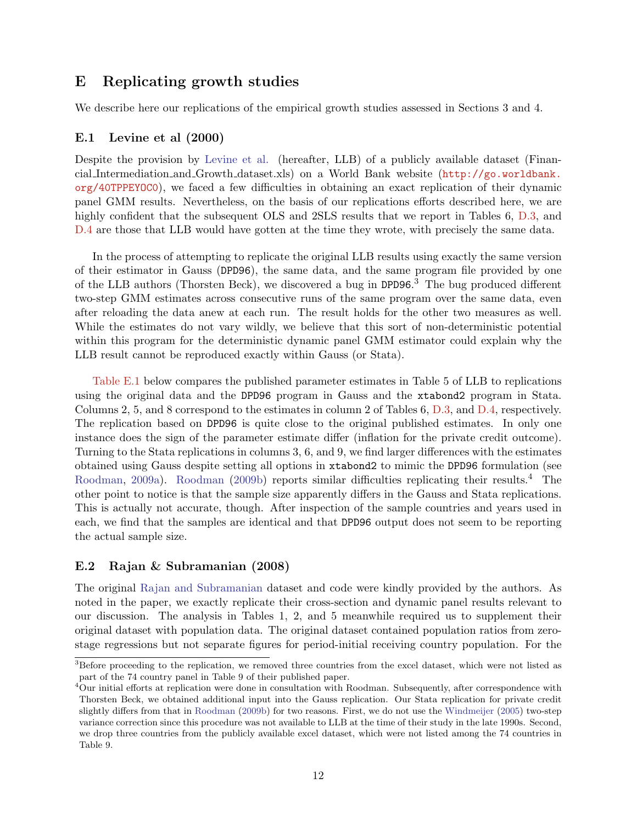## <span id="page-11-0"></span>E Replicating growth studies

We describe here our replications of the empirical growth studies assessed in Sections 3 and 4.

### E.1 Levine et al (2000)

Despite the provision by [Levine et al.](#page-15-13) (hereafter, LLB) of a publicly available dataset (Financial Intermediation and Growth dataset.xls) on a World Bank website ([http://go.worldbank.](http://go.worldbank.org/40TPPEYOC0) [org/40TPPEYOC0](http://go.worldbank.org/40TPPEYOC0)), we faced a few difficulties in obtaining an exact replication of their dynamic panel GMM results. Nevertheless, on the basis of our replications efforts described here, we are highly confident that the subsequent OLS and 2SLS results that we report in Tables 6, [D.3,](#page-7-0) and [D.4](#page-8-0) are those that LLB would have gotten at the time they wrote, with precisely the same data.

In the process of attempting to replicate the original LLB results using exactly the same version of their estimator in Gauss (DPD96), the same data, and the same program file provided by one of the LLB authors (Thorsten Beck), we discovered a bug in DPD96. <sup>3</sup> The bug produced different two-step GMM estimates across consecutive runs of the same program over the same data, even after reloading the data anew at each run. The result holds for the other two measures as well. While the estimates do not vary wildly, we believe that this sort of non-deterministic potential within this program for the deterministic dynamic panel GMM estimator could explain why the LLB result cannot be reproduced exactly within Gauss (or Stata).

[Table E.1](#page-14-0) below compares the published parameter estimates in Table 5 of LLB to replications using the original data and the DPD96 program in Gauss and the xtabond2 program in Stata. Columns 2, 5, and 8 correspond to the estimates in column 2 of Tables 6, [D.3,](#page-7-0) and [D.4,](#page-8-0) respectively. The replication based on DPD96 is quite close to the original published estimates. In only one instance does the sign of the parameter estimate differ (inflation for the private credit outcome). Turning to the Stata replications in columns 3, 6, and 9, we find larger differences with the estimates obtained using Gauss despite setting all options in xtabond2 to mimic the DPD96 formulation (see [Roodman,](#page-15-18) [2009a\)](#page-15-18). [Roodman](#page-15-19) [\(2009b\)](#page-15-19) reports similar difficulties replicating their results.<sup>4</sup> The other point to notice is that the sample size apparently differs in the Gauss and Stata replications. This is actually not accurate, though. After inspection of the sample countries and years used in each, we find that the samples are identical and that DPD96 output does not seem to be reporting the actual sample size.

### E.2 Rajan & Subramanian (2008)

The original [Rajan and Subramanian](#page-15-6) dataset and code were kindly provided by the authors. As noted in the paper, we exactly replicate their cross-section and dynamic panel results relevant to our discussion. The analysis in Tables 1, 2, and 5 meanwhile required us to supplement their original dataset with population data. The original dataset contained population ratios from zerostage regressions but not separate figures for period-initial receiving country population. For the

<sup>&</sup>lt;sup>3</sup>Before proceeding to the replication, we removed three countries from the excel dataset, which were not listed as part of the 74 country panel in Table 9 of their published paper.

<sup>4</sup>Our initial efforts at replication were done in consultation with Roodman. Subsequently, after correspondence with Thorsten Beck, we obtained additional input into the Gauss replication. Our Stata replication for private credit slightly differs from that in [Roodman](#page-15-19) [\(2009b\)](#page-15-19) for two reasons. First, we do not use the [Windmeijer](#page-15-20) [\(2005\)](#page-15-20) two-step variance correction since this procedure was not available to LLB at the time of their study in the late 1990s. Second, we drop three countries from the publicly available excel dataset, which were not listed among the 74 countries in Table 9.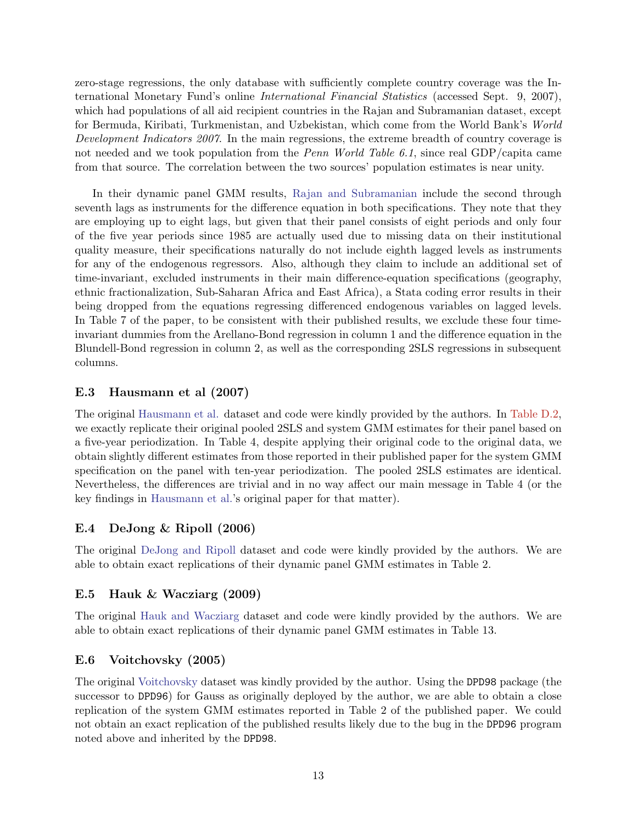zero-stage regressions, the only database with sufficiently complete country coverage was the International Monetary Fund's online International Financial Statistics (accessed Sept. 9, 2007), which had populations of all aid recipient countries in the Rajan and Subramanian dataset, except for Bermuda, Kiribati, Turkmenistan, and Uzbekistan, which come from the World Bank's World Development Indicators 2007. In the main regressions, the extreme breadth of country coverage is not needed and we took population from the *Penn World Table 6.1*, since real GDP/capita came from that source. The correlation between the two sources' population estimates is near unity.

In their dynamic panel GMM results, [Rajan and Subramanian](#page-15-6) include the second through seventh lags as instruments for the difference equation in both specifications. They note that they are employing up to eight lags, but given that their panel consists of eight periods and only four of the five year periods since 1985 are actually used due to missing data on their institutional quality measure, their specifications naturally do not include eighth lagged levels as instruments for any of the endogenous regressors. Also, although they claim to include an additional set of time-invariant, excluded instruments in their main difference-equation specifications (geography, ethnic fractionalization, Sub-Saharan Africa and East Africa), a Stata coding error results in their being dropped from the equations regressing differenced endogenous variables on lagged levels. In Table 7 of the paper, to be consistent with their published results, we exclude these four timeinvariant dummies from the Arellano-Bond regression in column 1 and the difference equation in the Blundell-Bond regression in column 2, as well as the corresponding 2SLS regressions in subsequent columns.

### E.3 Hausmann et al (2007)

The original [Hausmann et al.](#page-15-11) dataset and code were kindly provided by the authors. In [Table D.2,](#page-6-0) we exactly replicate their original pooled 2SLS and system GMM estimates for their panel based on a five-year periodization. In Table 4, despite applying their original code to the original data, we obtain slightly different estimates from those reported in their published paper for the system GMM specification on the panel with ten-year periodization. The pooled 2SLS estimates are identical. Nevertheless, the differences are trivial and in no way affect our main message in Table 4 (or the key findings in [Hausmann et al.'](#page-15-11)s original paper for that matter).

## E.4 DeJong & Ripoll (2006)

The original [DeJong and Ripoll](#page-15-21) dataset and code were kindly provided by the authors. We are able to obtain exact replications of their dynamic panel GMM estimates in Table 2.

### E.5 Hauk & Wacziarg (2009)

The original [Hauk and Wacziarg](#page-15-22) dataset and code were kindly provided by the authors. We are able to obtain exact replications of their dynamic panel GMM estimates in Table 13.

## E.6 Voitchovsky (2005)

The original [Voitchovsky](#page-15-23) dataset was kindly provided by the author. Using the DPD98 package (the successor to DPD96) for Gauss as originally deployed by the author, we are able to obtain a close replication of the system GMM estimates reported in Table 2 of the published paper. We could not obtain an exact replication of the published results likely due to the bug in the DPD96 program noted above and inherited by the DPD98.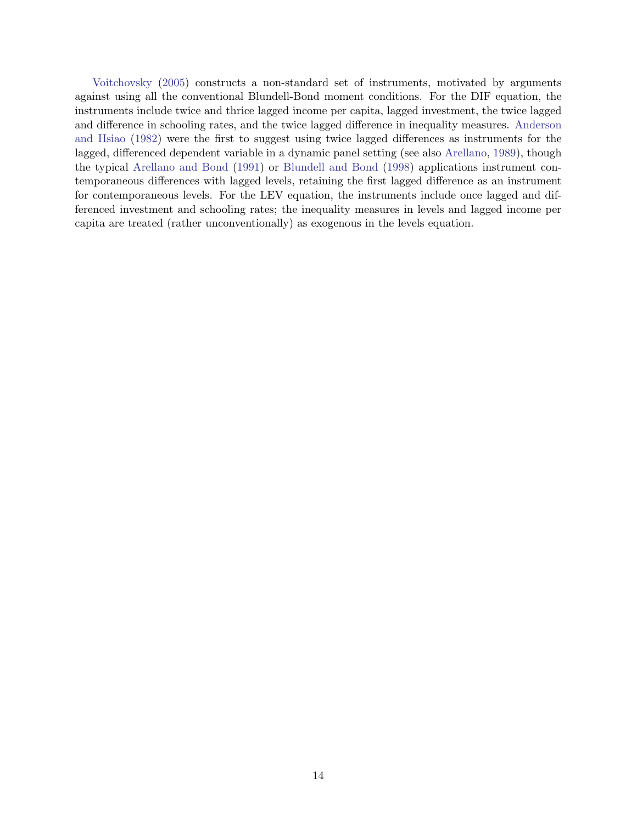[Voitchovsky](#page-15-23) [\(2005\)](#page-15-23) constructs a non-standard set of instruments, motivated by arguments against using all the conventional Blundell-Bond moment conditions. For the DIF equation, the instruments include twice and thrice lagged income per capita, lagged investment, the twice lagged and difference in schooling rates, and the twice lagged difference in inequality measures. [Anderson](#page-15-24) [and Hsiao](#page-15-24) [\(1982\)](#page-15-24) were the first to suggest using twice lagged differences as instruments for the lagged, differenced dependent variable in a dynamic panel setting (see also [Arellano,](#page-15-25) [1989\)](#page-15-25), though the typical [Arellano and Bond](#page-15-26) [\(1991\)](#page-15-26) or [Blundell and Bond](#page-15-27) [\(1998\)](#page-15-27) applications instrument contemporaneous differences with lagged levels, retaining the first lagged difference as an instrument for contemporaneous levels. For the LEV equation, the instruments include once lagged and differenced investment and schooling rates; the inequality measures in levels and lagged income per capita are treated (rather unconventionally) as exogenous in the levels equation.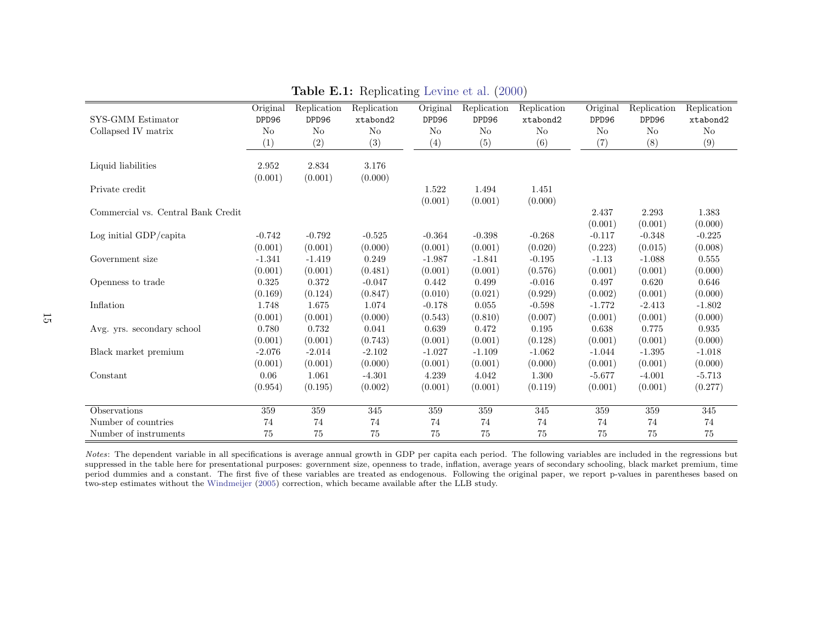| SYS-GMM Estimator<br>Collapsed IV matrix | Original<br>DPD96<br>No<br>(1) | Replication<br>DPD96<br>$\rm No$<br>(2) | Replication<br>xtabond2<br>$\rm No$<br>(3) | Original<br>DPD96<br>No<br>(4) | Replication<br>DPD96<br>N <sub>o</sub><br>(5) | Replication<br>xtabond2<br>No<br>(6) | Original<br>DPD96<br>No<br>(7) | Replication<br>DPD96<br>N <sub>o</sub><br>(8) | Replication<br>xtabond2<br>No<br>(9) |
|------------------------------------------|--------------------------------|-----------------------------------------|--------------------------------------------|--------------------------------|-----------------------------------------------|--------------------------------------|--------------------------------|-----------------------------------------------|--------------------------------------|
| Liquid liabilities                       | 2.952<br>(0.001)               | 2.834<br>(0.001)                        | 3.176<br>(0.000)                           |                                |                                               |                                      |                                |                                               |                                      |
| Private credit                           |                                |                                         |                                            | 1.522<br>(0.001)               | 1.494<br>(0.001)                              | 1.451<br>(0.000)                     |                                |                                               |                                      |
| Commercial vs. Central Bank Credit       |                                |                                         |                                            |                                |                                               |                                      | 2.437<br>(0.001)               | 2.293<br>(0.001)                              | 1.383<br>(0.000)                     |
| Log initial GDP/capita                   | $-0.742$                       | $-0.792$                                | $-0.525$                                   | $-0.364$                       | $-0.398$                                      | $-0.268$                             | $-0.117$                       | $-0.348$                                      | $-0.225$                             |
|                                          | (0.001)                        | (0.001)                                 | (0.000)                                    | (0.001)                        | (0.001)                                       | (0.020)                              | (0.223)                        | (0.015)                                       | (0.008)                              |
| Government size                          | $-1.341$                       | $-1.419$                                | 0.249                                      | $-1.987$                       | $-1.841$                                      | $-0.195$                             | $-1.13$                        | $-1.088$                                      | 0.555                                |
|                                          | (0.001)                        | (0.001)                                 | (0.481)                                    | (0.001)                        | (0.001)                                       | (0.576)                              | (0.001)                        | (0.001)                                       | (0.000)                              |
| Openness to trade                        | 0.325                          | 0.372                                   | $-0.047$                                   | 0.442                          | 0.499                                         | $-0.016$                             | 0.497                          | 0.620                                         | 0.646                                |
|                                          | (0.169)                        | (0.124)                                 | (0.847)                                    | (0.010)                        | (0.021)                                       | (0.929)                              | (0.002)                        | (0.001)                                       | (0.000)                              |
| Inflation                                | 1.748                          | 1.675                                   | 1.074                                      | $-0.178$                       | 0.055                                         | $-0.598$                             | $-1.772$                       | $-2.413$                                      | $-1.802$                             |
|                                          | (0.001)                        | (0.001)                                 | (0.000)                                    | (0.543)                        | (0.810)                                       | (0.007)                              | (0.001)                        | (0.001)                                       | (0.000)                              |
| Avg. yrs. secondary school               | 0.780                          | 0.732                                   | 0.041                                      | 0.639                          | 0.472                                         | 0.195                                | 0.638                          | 0.775                                         | $\,0.935\,$                          |
|                                          | (0.001)                        | (0.001)                                 | (0.743)                                    | (0.001)                        | (0.001)                                       | (0.128)                              | (0.001)                        | (0.001)                                       | (0.000)                              |
| Black market premium                     | $-2.076$                       | $-2.014$                                | $-2.102$                                   | $-1.027$                       | $-1.109$                                      | $-1.062$                             | $-1.044$                       | $-1.395$                                      | $-1.018$                             |
|                                          | (0.001)                        | (0.001)                                 | (0.000)                                    | (0.001)                        | (0.001)                                       | (0.000)                              | (0.001)                        | (0.001)                                       | (0.000)                              |
| Constant                                 | 0.06                           | 1.061                                   | $-4.301$                                   | 4.239                          | 4.042                                         | 1.300                                | $-5.677$                       | $-4.001$                                      | $-5.713$                             |
|                                          | (0.954)                        | (0.195)                                 | (0.002)                                    | (0.001)                        | (0.001)                                       | (0.119)                              | (0.001)                        | (0.001)                                       | (0.277)                              |
| Observations                             | $\overline{359}$               | 359                                     | $\overline{345}$                           | $\overline{359}$               | 359                                           | $\overline{345}$                     | 359                            | 359                                           | 345                                  |
| Number of countries                      | 74                             | 74                                      | 74                                         | 74                             | 74                                            | 74                                   | 74                             | 74                                            | 74                                   |
| Number of instruments                    | 75                             | 75                                      | 75                                         | 75                             | 75                                            | 75                                   | 75                             | 75                                            | 75                                   |

Table E.1: Replicating [Levine](#page-15-17) et al. [\(2000\)](#page-15-17)

<span id="page-14-0"></span>Notes: The dependent variable in all specifications is average annual growth in GDP per capita each period. The following variables are included in the regressions but suppressed in the table here for presentational purposes: government size, openness to trade, inflation, average years of secondary schooling, black market premium, time period dummies and <sup>a</sup> constant. The first five of these variables are treated as endogenous. Following the original paper, we report p-values in parentheses based ontwo-step estimates without the [Windmeijer](#page-15-28) [\(2005\)](#page-15-28) correction, which became available after the LLB study.